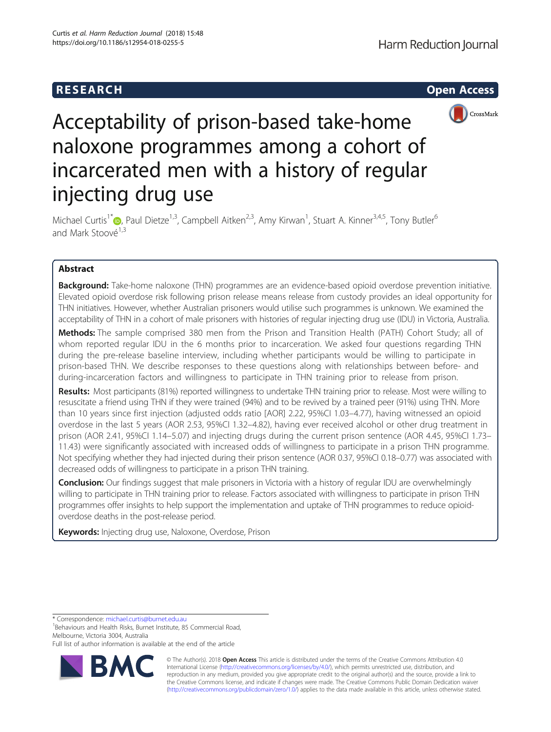# **RESEARCH CHEAR CHEAR CHEAR CHEAR CHEAR CHEAR CHEAR CHEAR CHEAR CHEAR CHEAR CHEAR CHEAR CHEAR CHEAR CHEAR CHEAR**



# Acceptability of prison-based take-home naloxone programmes among a cohort of incarcerated men with a history of regular injecting drug use

Michael Curtis<sup>1[\\*](http://orcid.org/0000-0002-1814-0867)</sup> (@, Paul Dietze<sup>1,3</sup>, Campbell Aitken<sup>2,3</sup>, Amy Kirwan<sup>1</sup>, Stuart A. Kinner<sup>3,4,5</sup>, Tony Butler<sup>6</sup> and Mark Stoové<sup>1,3</sup>

# Abstract

**Background:** Take-home naloxone (THN) programmes are an evidence-based opioid overdose prevention initiative. Elevated opioid overdose risk following prison release means release from custody provides an ideal opportunity for THN initiatives. However, whether Australian prisoners would utilise such programmes is unknown. We examined the acceptability of THN in a cohort of male prisoners with histories of regular injecting drug use (IDU) in Victoria, Australia.

Methods: The sample comprised 380 men from the Prison and Transition Health (PATH) Cohort Study; all of whom reported regular IDU in the 6 months prior to incarceration. We asked four questions regarding THN during the pre-release baseline interview, including whether participants would be willing to participate in prison-based THN. We describe responses to these questions along with relationships between before- and during-incarceration factors and willingness to participate in THN training prior to release from prison.

Results: Most participants (81%) reported willingness to undertake THN training prior to release. Most were willing to resuscitate a friend using THN if they were trained (94%) and to be revived by a trained peer (91%) using THN. More than 10 years since first injection (adjusted odds ratio [AOR] 2.22, 95%CI 1.03–4.77), having witnessed an opioid overdose in the last 5 years (AOR 2.53, 95%CI 1.32–4.82), having ever received alcohol or other drug treatment in prison (AOR 2.41, 95%CI 1.14–5.07) and injecting drugs during the current prison sentence (AOR 4.45, 95%CI 1.73– 11.43) were significantly associated with increased odds of willingness to participate in a prison THN programme. Not specifying whether they had injected during their prison sentence (AOR 0.37, 95%CI 0.18–0.77) was associated with decreased odds of willingness to participate in a prison THN training.

**Conclusion:** Our findings suggest that male prisoners in Victoria with a history of regular IDU are overwhelmingly willing to participate in THN training prior to release. Factors associated with willingness to participate in prison THN programmes offer insights to help support the implementation and uptake of THN programmes to reduce opioidoverdose deaths in the post-release period.

Keywords: Injecting drug use, Naloxone, Overdose, Prison

\* Correspondence: [michael.curtis@burnet.edu.au](mailto:michael.curtis@burnet.edu.au) <sup>1</sup>

<sup>1</sup> Behaviours and Health Risks, Burnet Institute, 85 Commercial Road, Melbourne, Victoria 3004, Australia

Full list of author information is available at the end of the article



© The Author(s). 2018 Open Access This article is distributed under the terms of the Creative Commons Attribution 4.0 International License [\(http://creativecommons.org/licenses/by/4.0/](http://creativecommons.org/licenses/by/4.0/)), which permits unrestricted use, distribution, and reproduction in any medium, provided you give appropriate credit to the original author(s) and the source, provide a link to the Creative Commons license, and indicate if changes were made. The Creative Commons Public Domain Dedication waiver [\(http://creativecommons.org/publicdomain/zero/1.0/](http://creativecommons.org/publicdomain/zero/1.0/)) applies to the data made available in this article, unless otherwise stated.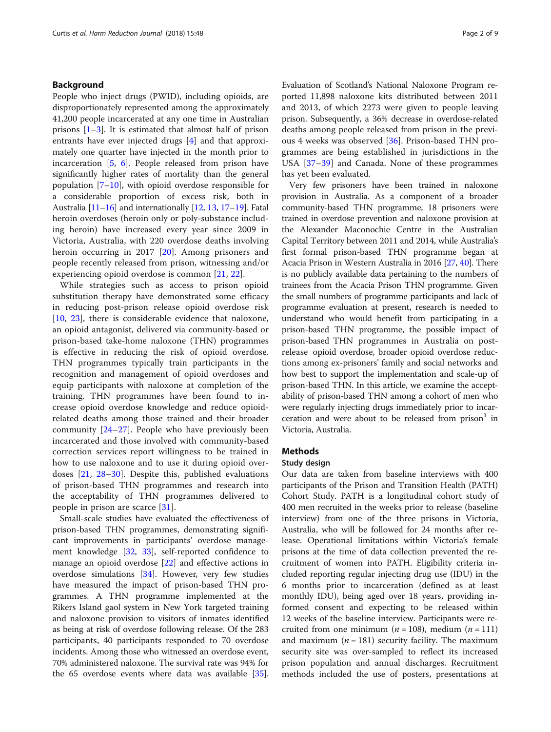# Background

People who inject drugs (PWID), including opioids, are disproportionately represented among the approximately 41,200 people incarcerated at any one time in Australian prisons [\[1](#page-7-0)–[3](#page-7-0)]. It is estimated that almost half of prison entrants have ever injected drugs [\[4](#page-7-0)] and that approximately one quarter have injected in the month prior to incarceration [[5](#page-7-0), [6\]](#page-7-0). People released from prison have significantly higher rates of mortality than the general population [[7](#page-7-0)–[10](#page-7-0)], with opioid overdose responsible for a considerable proportion of excess risk, both in Australia [\[11](#page-7-0)–[16](#page-7-0)] and internationally [\[12,](#page-7-0) [13,](#page-7-0) [17](#page-7-0)–[19\]](#page-7-0). Fatal heroin overdoses (heroin only or poly-substance including heroin) have increased every year since 2009 in Victoria, Australia, with 220 overdose deaths involving heroin occurring in 2017 [\[20](#page-7-0)]. Among prisoners and people recently released from prison, witnessing and/or experiencing opioid overdose is common [\[21](#page-8-0), [22\]](#page-8-0).

While strategies such as access to prison opioid substitution therapy have demonstrated some efficacy in reducing post-prison release opioid overdose risk [[10,](#page-7-0) [23\]](#page-8-0), there is considerable evidence that naloxone, an opioid antagonist, delivered via community-based or prison-based take-home naloxone (THN) programmes is effective in reducing the risk of opioid overdose. THN programmes typically train participants in the recognition and management of opioid overdoses and equip participants with naloxone at completion of the training. THN programmes have been found to increase opioid overdose knowledge and reduce opioidrelated deaths among those trained and their broader community [[24](#page-8-0)–[27\]](#page-8-0). People who have previously been incarcerated and those involved with community-based correction services report willingness to be trained in how to use naloxone and to use it during opioid overdoses [\[21](#page-8-0), [28](#page-8-0)–[30](#page-8-0)]. Despite this, published evaluations of prison-based THN programmes and research into the acceptability of THN programmes delivered to people in prison are scarce [[31\]](#page-8-0).

Small-scale studies have evaluated the effectiveness of prison-based THN programmes, demonstrating significant improvements in participants' overdose management knowledge [\[32,](#page-8-0) [33\]](#page-8-0), self-reported confidence to manage an opioid overdose [[22](#page-8-0)] and effective actions in overdose simulations [[34](#page-8-0)]. However, very few studies have measured the impact of prison-based THN programmes. A THN programme implemented at the Rikers Island gaol system in New York targeted training and naloxone provision to visitors of inmates identified as being at risk of overdose following release. Of the 283 participants, 40 participants responded to 70 overdose incidents. Among those who witnessed an overdose event, 70% administered naloxone. The survival rate was 94% for the 65 overdose events where data was available [[35](#page-8-0)]. Evaluation of Scotland's National Naloxone Program reported 11,898 naloxone kits distributed between 2011 and 2013, of which 2273 were given to people leaving prison. Subsequently, a 36% decrease in overdose-related deaths among people released from prison in the previ-ous 4 weeks was observed [\[36](#page-8-0)]. Prison-based THN programmes are being established in jurisdictions in the USA [\[37](#page-8-0)–[39\]](#page-8-0) and Canada. None of these programmes has yet been evaluated.

Very few prisoners have been trained in naloxone provision in Australia. As a component of a broader community-based THN programme, 18 prisoners were trained in overdose prevention and naloxone provision at the Alexander Maconochie Centre in the Australian Capital Territory between 2011 and 2014, while Australia's first formal prison-based THN programme began at Acacia Prison in Western Australia in 2016 [\[27,](#page-8-0) [40\]](#page-8-0). There is no publicly available data pertaining to the numbers of trainees from the Acacia Prison THN programme. Given the small numbers of programme participants and lack of programme evaluation at present, research is needed to understand who would benefit from participating in a prison-based THN programme, the possible impact of prison-based THN programmes in Australia on postrelease opioid overdose, broader opioid overdose reductions among ex-prisoners' family and social networks and how best to support the implementation and scale-up of prison-based THN. In this article, we examine the acceptability of prison-based THN among a cohort of men who were regularly injecting drugs immediately prior to incarceration and were about to be released from  $prison<sup>1</sup>$  in Victoria, Australia.

# **Methods**

# Study design

Our data are taken from baseline interviews with 400 participants of the Prison and Transition Health (PATH) Cohort Study. PATH is a longitudinal cohort study of 400 men recruited in the weeks prior to release (baseline interview) from one of the three prisons in Victoria, Australia, who will be followed for 24 months after release. Operational limitations within Victoria's female prisons at the time of data collection prevented the recruitment of women into PATH. Eligibility criteria included reporting regular injecting drug use (IDU) in the 6 months prior to incarceration (defined as at least monthly IDU), being aged over 18 years, providing informed consent and expecting to be released within 12 weeks of the baseline interview. Participants were recruited from one minimum ( $n = 108$ ), medium ( $n = 111$ ) and maximum ( $n = 181$ ) security facility. The maximum security site was over-sampled to reflect its increased prison population and annual discharges. Recruitment methods included the use of posters, presentations at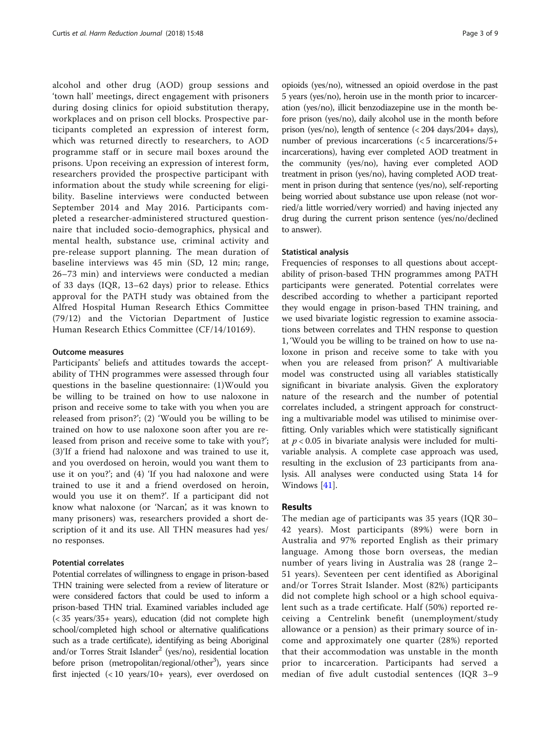alcohol and other drug (AOD) group sessions and 'town hall' meetings, direct engagement with prisoners during dosing clinics for opioid substitution therapy, workplaces and on prison cell blocks. Prospective participants completed an expression of interest form, which was returned directly to researchers, to AOD programme staff or in secure mail boxes around the prisons. Upon receiving an expression of interest form, researchers provided the prospective participant with information about the study while screening for eligibility. Baseline interviews were conducted between September 2014 and May 2016. Participants completed a researcher-administered structured questionnaire that included socio-demographics, physical and mental health, substance use, criminal activity and pre-release support planning. The mean duration of baseline interviews was 45 min (SD, 12 min; range, 26–73 min) and interviews were conducted a median of 33 days (IQR, 13–62 days) prior to release. Ethics approval for the PATH study was obtained from the Alfred Hospital Human Research Ethics Committee (79/12) and the Victorian Department of Justice Human Research Ethics Committee (CF/14/10169).

# Outcome measures

Participants' beliefs and attitudes towards the acceptability of THN programmes were assessed through four questions in the baseline questionnaire: (1)Would you be willing to be trained on how to use naloxone in prison and receive some to take with you when you are released from prison?'; (2) 'Would you be willing to be trained on how to use naloxone soon after you are released from prison and receive some to take with you?'; (3)'If a friend had naloxone and was trained to use it, and you overdosed on heroin, would you want them to use it on you?'; and (4) 'If you had naloxone and were trained to use it and a friend overdosed on heroin, would you use it on them?'. If a participant did not know what naloxone (or 'Narcan', as it was known to many prisoners) was, researchers provided a short description of it and its use. All THN measures had yes/ no responses.

# Potential correlates

Potential correlates of willingness to engage in prison-based THN training were selected from a review of literature or were considered factors that could be used to inform a prison-based THN trial. Examined variables included age (< 35 years/35+ years), education (did not complete high school/completed high school or alternative qualifications such as a trade certificate), identifying as being Aboriginal and/or Torres Strait Islander<sup>2</sup> (yes/no), residential location before prison (metropolitan/regional/other<sup>3</sup>), years since first injected (< 10 years/10+ years), ever overdosed on opioids (yes/no), witnessed an opioid overdose in the past 5 years (yes/no), heroin use in the month prior to incarceration (yes/no), illicit benzodiazepine use in the month before prison (yes/no), daily alcohol use in the month before prison (yes/no), length of sentence (< 204 days/204+ days), number of previous incarcerations (< 5 incarcerations/5+ incarcerations), having ever completed AOD treatment in the community (yes/no), having ever completed AOD treatment in prison (yes/no), having completed AOD treatment in prison during that sentence (yes/no), self-reporting being worried about substance use upon release (not worried/a little worried/very worried) and having injected any drug during the current prison sentence (yes/no/declined to answer).

## Statistical analysis

Frequencies of responses to all questions about acceptability of prison-based THN programmes among PATH participants were generated. Potential correlates were described according to whether a participant reported they would engage in prison-based THN training, and we used bivariate logistic regression to examine associations between correlates and THN response to question 1, 'Would you be willing to be trained on how to use naloxone in prison and receive some to take with you when you are released from prison?' A multivariable model was constructed using all variables statistically significant in bivariate analysis. Given the exploratory nature of the research and the number of potential correlates included, a stringent approach for constructing a multivariable model was utilised to minimise overfitting. Only variables which were statistically significant at  $p < 0.05$  in bivariate analysis were included for multivariable analysis. A complete case approach was used, resulting in the exclusion of 23 participants from analysis. All analyses were conducted using Stata 14 for Windows [[41](#page-8-0)].

# Results

The median age of participants was 35 years (IQR 30– 42 years). Most participants (89%) were born in Australia and 97% reported English as their primary language. Among those born overseas, the median number of years living in Australia was 28 (range 2– 51 years). Seventeen per cent identified as Aboriginal and/or Torres Strait Islander. Most (82%) participants did not complete high school or a high school equivalent such as a trade certificate. Half (50%) reported receiving a Centrelink benefit (unemployment/study allowance or a pension) as their primary source of income and approximately one quarter (28%) reported that their accommodation was unstable in the month prior to incarceration. Participants had served a median of five adult custodial sentences (IQR 3–9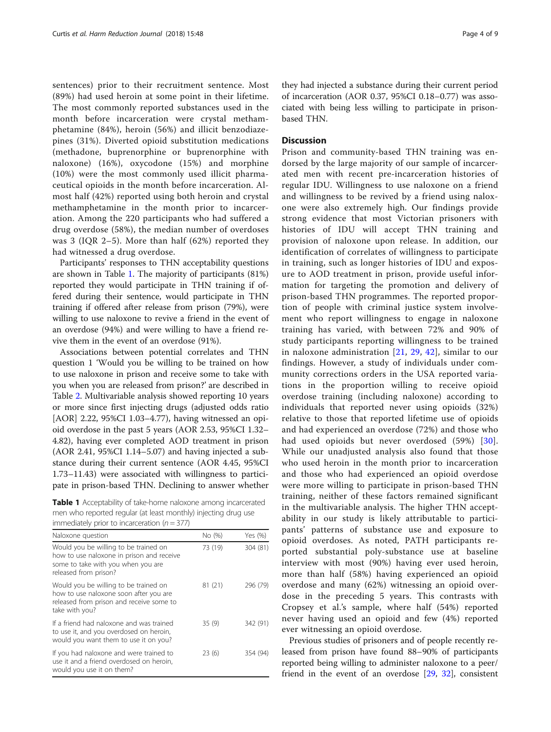sentences) prior to their recruitment sentence. Most (89%) had used heroin at some point in their lifetime. The most commonly reported substances used in the month before incarceration were crystal methamphetamine (84%), heroin (56%) and illicit benzodiazepines (31%). Diverted opioid substitution medications (methadone, buprenorphine or buprenorphine with naloxone) (16%), oxycodone (15%) and morphine (10%) were the most commonly used illicit pharmaceutical opioids in the month before incarceration. Almost half (42%) reported using both heroin and crystal methamphetamine in the month prior to incarceration. Among the 220 participants who had suffered a drug overdose (58%), the median number of overdoses was 3 (IQR 2–5). More than half (62%) reported they had witnessed a drug overdose.

Participants' responses to THN acceptability questions are shown in Table 1. The majority of participants (81%) reported they would participate in THN training if offered during their sentence, would participate in THN training if offered after release from prison (79%), were willing to use naloxone to revive a friend in the event of an overdose (94%) and were willing to have a friend revive them in the event of an overdose (91%).

Associations between potential correlates and THN question 1 'Would you be willing to be trained on how to use naloxone in prison and receive some to take with you when you are released from prison?' are described in Table [2.](#page-4-0) Multivariable analysis showed reporting 10 years or more since first injecting drugs (adjusted odds ratio [AOR] 2.22, 95%CI 1.03–4.77), having witnessed an opioid overdose in the past 5 years (AOR 2.53, 95%CI 1.32– 4.82), having ever completed AOD treatment in prison (AOR 2.41, 95%CI 1.14–5.07) and having injected a substance during their current sentence (AOR 4.45, 95%CI 1.73–11.43) were associated with willingness to participate in prison-based THN. Declining to answer whether

**Table 1** Acceptability of take-home naloxone among incarcerated men who reported regular (at least monthly) injecting drug use immediately prior to incarceration  $(n = 377)$ 

| Naloxone question                                                                                                                                 | No (%)  | Yes (%)  |
|---------------------------------------------------------------------------------------------------------------------------------------------------|---------|----------|
| Would you be willing to be trained on<br>how to use naloxone in prison and receive<br>some to take with you when you are<br>released from prison? | 73 (19) | 304 (81) |
| Would you be willing to be trained on<br>how to use naloxone soon after you are<br>released from prison and receive some to<br>take with you?     | 81 (21) | 296 (79) |
| If a friend had naloxone and was trained<br>to use it, and you overdosed on heroin,<br>would you want them to use it on you?                      | 35(9)   | 342 (91) |
| If you had naloxone and were trained to<br>use it and a friend overdosed on heroin,<br>would you use it on them?                                  | 23(6)   | 354 (94) |

they had injected a substance during their current period of incarceration (AOR 0.37, 95%CI 0.18–0.77) was associated with being less willing to participate in prisonbased THN.

# **Discussion**

Prison and community-based THN training was endorsed by the large majority of our sample of incarcerated men with recent pre-incarceration histories of regular IDU. Willingness to use naloxone on a friend and willingness to be revived by a friend using naloxone were also extremely high. Our findings provide strong evidence that most Victorian prisoners with histories of IDU will accept THN training and provision of naloxone upon release. In addition, our identification of correlates of willingness to participate in training, such as longer histories of IDU and exposure to AOD treatment in prison, provide useful information for targeting the promotion and delivery of prison-based THN programmes. The reported proportion of people with criminal justice system involvement who report willingness to engage in naloxone training has varied, with between 72% and 90% of study participants reporting willingness to be trained in naloxone administration [[21](#page-8-0), [29](#page-8-0), [42](#page-8-0)], similar to our findings. However, a study of individuals under community corrections orders in the USA reported variations in the proportion willing to receive opioid overdose training (including naloxone) according to individuals that reported never using opioids (32%) relative to those that reported lifetime use of opioids and had experienced an overdose (72%) and those who had used opioids but never overdosed (59%) [[30](#page-8-0)]. While our unadjusted analysis also found that those who used heroin in the month prior to incarceration and those who had experienced an opioid overdose were more willing to participate in prison-based THN training, neither of these factors remained significant in the multivariable analysis. The higher THN acceptability in our study is likely attributable to participants' patterns of substance use and exposure to opioid overdoses. As noted, PATH participants reported substantial poly-substance use at baseline interview with most (90%) having ever used heroin, more than half (58%) having experienced an opioid overdose and many (62%) witnessing an opioid overdose in the preceding 5 years. This contrasts with Cropsey et al.'s sample, where half (54%) reported never having used an opioid and few (4%) reported ever witnessing an opioid overdose.

Previous studies of prisoners and of people recently released from prison have found 88–90% of participants reported being willing to administer naloxone to a peer/ friend in the event of an overdose [\[29,](#page-8-0) [32](#page-8-0)], consistent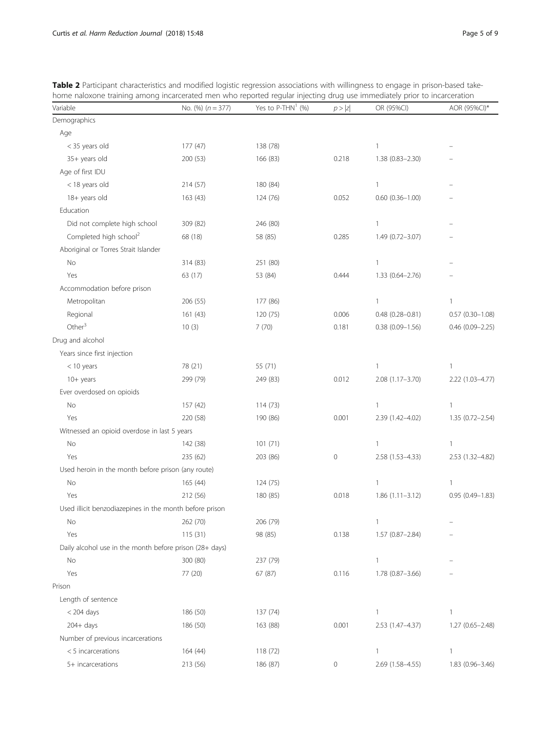<span id="page-4-0"></span>

| Table 2 Participant characteristics and modified logistic regression associations with willingness to engage in prison-based take- |  |
|------------------------------------------------------------------------------------------------------------------------------------|--|
| home naloxone training among incarcerated men who reported regular injecting drug use immediately prior to incarceration           |  |

| Variable                                                | No. (%) $(n = 377)$ | Yes to $P$ -THN <sup>1</sup> (%) | p >  z | OR (95%CI)             | AOR (95%CI)*        |
|---------------------------------------------------------|---------------------|----------------------------------|--------|------------------------|---------------------|
| Demographics                                            |                     |                                  |        |                        |                     |
| Age                                                     |                     |                                  |        |                        |                     |
| < 35 years old                                          | 177 (47)            | 138 (78)                         |        | $\mathbf{1}$           |                     |
| 35+ years old                                           | 200 (53)            | 166 (83)                         | 0.218  | 1.38 (0.83-2.30)       |                     |
| Age of first IDU                                        |                     |                                  |        |                        |                     |
| < 18 years old                                          | 214 (57)            | 180 (84)                         |        | $\mathbf{1}$           |                     |
| 18+ years old                                           | 163 (43)            | 124 (76)                         | 0.052  | $0.60$ $(0.36 - 1.00)$ |                     |
| Education                                               |                     |                                  |        |                        |                     |
| Did not complete high school                            | 309 (82)            | 246 (80)                         |        | $\mathbf{1}$           |                     |
| Completed high school <sup>2</sup>                      | 68 (18)             | 58 (85)                          | 0.285  | 1.49 (0.72-3.07)       |                     |
| Aboriginal or Torres Strait Islander                    |                     |                                  |        |                        |                     |
| No                                                      | 314 (83)            | 251 (80)                         |        | $\mathbf{1}$           |                     |
| Yes                                                     | 63 (17)             | 53 (84)                          | 0.444  | 1.33 (0.64-2.76)       |                     |
| Accommodation before prison                             |                     |                                  |        |                        |                     |
| Metropolitan                                            | 206 (55)            | 177 (86)                         |        | $\mathbf{1}$           | $\mathbf{1}$        |
| Regional                                                | 161 (43)            | 120 (75)                         | 0.006  | $0.48(0.28 - 0.81)$    | $0.57(0.30 - 1.08)$ |
| Other <sup>3</sup>                                      | 10(3)               | 7(70)                            | 0.181  | $0.38(0.09 - 1.56)$    | $0.46(0.09 - 2.25)$ |
| Drug and alcohol                                        |                     |                                  |        |                        |                     |
| Years since first injection                             |                     |                                  |        |                        |                     |
| $<$ 10 years                                            | 78 (21)             | 55 (71)                          |        | 1                      | $\mathbf{1}$        |
| 10+ years                                               | 299 (79)            | 249 (83)                         | 0.012  | $2.08(1.17 - 3.70)$    | 2.22 (1.03-4.77)    |
| Ever overdosed on opioids                               |                     |                                  |        |                        |                     |
| No                                                      | 157 (42)            | 114(73)                          |        | $\mathbf{1}$           | $\mathbf{1}$        |
| Yes                                                     | 220 (58)            | 190 (86)                         | 0.001  | 2.39 (1.42-4.02)       | $1.35(0.72 - 2.54)$ |
| Witnessed an opioid overdose in last 5 years            |                     |                                  |        |                        |                     |
| No                                                      | 142 (38)            | 101 (71)                         |        | $\mathbf{1}$           | 1                   |
| Yes                                                     | 235 (62)            | 203 (86)                         | 0      | 2.58 (1.53-4.33)       | 2.53 (1.32-4.82)    |
| Used heroin in the month before prison (any route)      |                     |                                  |        |                        |                     |
| No                                                      | 165 (44)            | 124 (75)                         |        | $\mathbf{1}$           | 1                   |
| Yes                                                     | 212 (56)            | 180 (85)                         | 0.018  | $1.86(1.11 - 3.12)$    | $0.95(0.49 - 1.83)$ |
| Used illicit benzodiazepines in the month before prison |                     |                                  |        |                        |                     |
| No                                                      | 262 (70)            | 206 (79)                         |        | $\mathbf{1}$           |                     |
| Yes                                                     | 115 (31)            | 98 (85)                          | 0.138  | $1.57(0.87 - 2.84)$    |                     |
| Daily alcohol use in the month before prison (28+ days) |                     |                                  |        |                        |                     |
| No                                                      | 300 (80)            | 237 (79)                         |        | $\mathbf{1}$           |                     |
| Yes                                                     | 77 (20)             | 67 (87)                          | 0.116  | 1.78 (0.87-3.66)       |                     |
| Prison                                                  |                     |                                  |        |                        |                     |
| Length of sentence                                      |                     |                                  |        |                        |                     |
| $<$ 204 days                                            | 186 (50)            | 137 (74)                         |        | $\mathbf{1}$           | $\mathbf{1}$        |
| $204 + days$                                            | 186 (50)            | 163 (88)                         | 0.001  | 2.53 (1.47-4.37)       | 1.27 (0.65-2.48)    |
| Number of previous incarcerations                       |                     |                                  |        |                        |                     |
| $<$ 5 incarcerations                                    | 164(44)             | 118 (72)                         |        | $\mathbf{1}$           | $\mathbf{1}$        |
| 5+ incarcerations                                       | 213 (56)            | 186 (87)                         | 0      | 2.69 (1.58-4.55)       | $1.83(0.96 - 3.46)$ |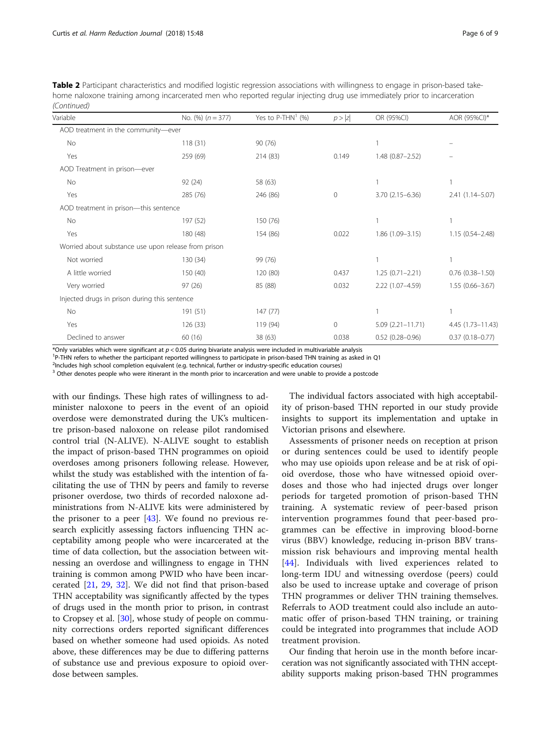Table 2 Participant characteristics and modified logistic regression associations with willingness to engage in prison-based takehome naloxone training among incarcerated men who reported regular injecting drug use immediately prior to incarceration (Continued)

| Variable                                             | No. (%) $(n = 377)$ | Yes to $P$ -THN <sup>1</sup> (%) | p >  z       | OR (95%CI)           | AOR (95%CI)*        |
|------------------------------------------------------|---------------------|----------------------------------|--------------|----------------------|---------------------|
| AOD treatment in the community-ever                  |                     |                                  |              |                      |                     |
| No                                                   | 118(31)             | 90(76)                           |              |                      |                     |
| Yes                                                  | 259 (69)            | 214 (83)                         | 0.149        | $1.48(0.87 - 2.52)$  |                     |
| AOD Treatment in prison-ever                         |                     |                                  |              |                      |                     |
| No                                                   | 92(24)              | 58 (63)                          |              |                      |                     |
| Yes                                                  | 285 (76)            | 246 (86)                         | $\circ$      | $3.70(2.15 - 6.36)$  | $2.41(1.14 - 5.07)$ |
| AOD treatment in prison-this sentence                |                     |                                  |              |                      |                     |
| No                                                   | 197 (52)            | 150 (76)                         |              |                      |                     |
| Yes                                                  | 180 (48)            | 154 (86)                         | 0.022        | $1.86(1.09 - 3.15)$  | $1.15(0.54 - 2.48)$ |
| Worried about substance use upon release from prison |                     |                                  |              |                      |                     |
| Not worried                                          | 130 (34)            | 99 (76)                          |              |                      |                     |
| A little worried                                     | 150 (40)            | 120 (80)                         | 0.437        | $1.25(0.71 - 2.21)$  | $0.76(0.38 - 1.50)$ |
| Very worried                                         | 97 (26)             | 85 (88)                          | 0.032        | 2.22 (1.07-4.59)     | $1.55(0.66 - 3.67)$ |
| Injected drugs in prison during this sentence        |                     |                                  |              |                      |                     |
| No                                                   | 191 (51)            | 147(77)                          |              |                      |                     |
| Yes                                                  | 126 (33)            | 119 (94)                         | $\mathbf{0}$ | $5.09(2.21 - 11.71)$ | 4.45 (1.73-11.43)   |
| Declined to answer                                   | 60 (16)             | 38(63)                           | 0.038        | $0.52(0.28 - 0.96)$  | $0.37(0.18 - 0.77)$ |

\*Only variables which were significant at <sup>p</sup> < 0.05 during bivariate analysis were included in multivariable analysis <sup>1</sup>

P-THN refers to whether the participant reported willingness to participate in prison-based THN training as asked in Q1

<sup>2</sup>Includes high school completion equivalent (e.g. technical, further or industry-specific education courses)

<sup>3</sup> Other denotes people who were itinerant in the month prior to incarceration and were unable to provide a postcode

with our findings. These high rates of willingness to administer naloxone to peers in the event of an opioid overdose were demonstrated during the UK's multicentre prison-based naloxone on release pilot randomised control trial (N-ALIVE). N-ALIVE sought to establish the impact of prison-based THN programmes on opioid overdoses among prisoners following release. However, whilst the study was established with the intention of facilitating the use of THN by peers and family to reverse prisoner overdose, two thirds of recorded naloxone administrations from N-ALIVE kits were administered by the prisoner to a peer [[43](#page-8-0)]. We found no previous research explicitly assessing factors influencing THN acceptability among people who were incarcerated at the time of data collection, but the association between witnessing an overdose and willingness to engage in THN training is common among PWID who have been incarcerated [[21](#page-8-0), [29](#page-8-0), [32](#page-8-0)]. We did not find that prison-based THN acceptability was significantly affected by the types of drugs used in the month prior to prison, in contrast to Cropsey et al. [[30\]](#page-8-0), whose study of people on community corrections orders reported significant differences based on whether someone had used opioids. As noted above, these differences may be due to differing patterns of substance use and previous exposure to opioid overdose between samples.

The individual factors associated with high acceptability of prison-based THN reported in our study provide insights to support its implementation and uptake in Victorian prisons and elsewhere.

Assessments of prisoner needs on reception at prison or during sentences could be used to identify people who may use opioids upon release and be at risk of opioid overdose, those who have witnessed opioid overdoses and those who had injected drugs over longer periods for targeted promotion of prison-based THN training. A systematic review of peer-based prison intervention programmes found that peer-based programmes can be effective in improving blood-borne virus (BBV) knowledge, reducing in-prison BBV transmission risk behaviours and improving mental health [[44](#page-8-0)]. Individuals with lived experiences related to long-term IDU and witnessing overdose (peers) could also be used to increase uptake and coverage of prison THN programmes or deliver THN training themselves. Referrals to AOD treatment could also include an automatic offer of prison-based THN training, or training could be integrated into programmes that include AOD treatment provision.

Our finding that heroin use in the month before incarceration was not significantly associated with THN acceptability supports making prison-based THN programmes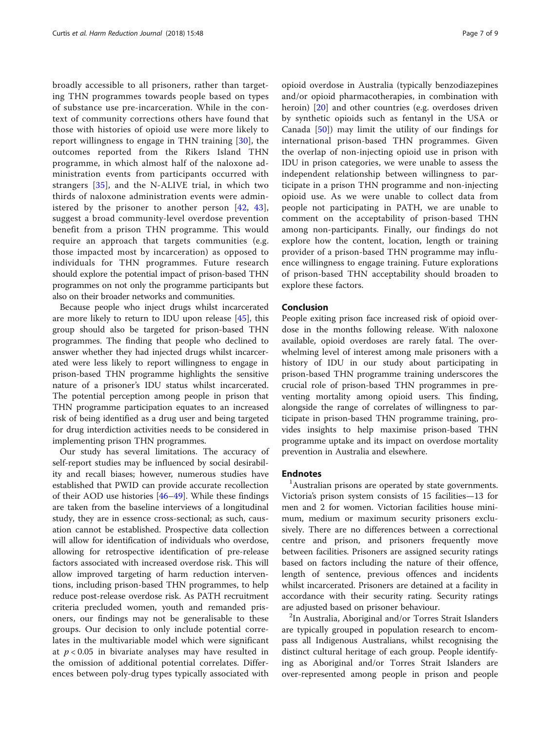broadly accessible to all prisoners, rather than targeting THN programmes towards people based on types of substance use pre-incarceration. While in the context of community corrections others have found that those with histories of opioid use were more likely to report willingness to engage in THN training [[30](#page-8-0)], the outcomes reported from the Rikers Island THN programme, in which almost half of the naloxone administration events from participants occurred with strangers [\[35\]](#page-8-0), and the N-ALIVE trial, in which two thirds of naloxone administration events were admin-istered by the prisoner to another person [[42,](#page-8-0) [43](#page-8-0)], suggest a broad community-level overdose prevention benefit from a prison THN programme. This would require an approach that targets communities (e.g. those impacted most by incarceration) as opposed to individuals for THN programmes. Future research should explore the potential impact of prison-based THN programmes on not only the programme participants but also on their broader networks and communities.

Because people who inject drugs whilst incarcerated are more likely to return to IDU upon release [[45\]](#page-8-0), this group should also be targeted for prison-based THN programmes. The finding that people who declined to answer whether they had injected drugs whilst incarcerated were less likely to report willingness to engage in prison-based THN programme highlights the sensitive nature of a prisoner's IDU status whilst incarcerated. The potential perception among people in prison that THN programme participation equates to an increased risk of being identified as a drug user and being targeted for drug interdiction activities needs to be considered in implementing prison THN programmes.

Our study has several limitations. The accuracy of self-report studies may be influenced by social desirability and recall biases; however, numerous studies have established that PWID can provide accurate recollection of their AOD use histories [\[46](#page-8-0)–[49\]](#page-8-0). While these findings are taken from the baseline interviews of a longitudinal study, they are in essence cross-sectional; as such, causation cannot be established. Prospective data collection will allow for identification of individuals who overdose, allowing for retrospective identification of pre-release factors associated with increased overdose risk. This will allow improved targeting of harm reduction interventions, including prison-based THN programmes, to help reduce post-release overdose risk. As PATH recruitment criteria precluded women, youth and remanded prisoners, our findings may not be generalisable to these groups. Our decision to only include potential correlates in the multivariable model which were significant at  $p < 0.05$  in bivariate analyses may have resulted in the omission of additional potential correlates. Differences between poly-drug types typically associated with

opioid overdose in Australia (typically benzodiazepines and/or opioid pharmacotherapies, in combination with heroin) [[20](#page-7-0)] and other countries (e.g. overdoses driven by synthetic opioids such as fentanyl in the USA or Canada [[50\]](#page-8-0)) may limit the utility of our findings for international prison-based THN programmes. Given the overlap of non-injecting opioid use in prison with IDU in prison categories, we were unable to assess the independent relationship between willingness to participate in a prison THN programme and non-injecting opioid use. As we were unable to collect data from people not participating in PATH, we are unable to comment on the acceptability of prison-based THN among non-participants. Finally, our findings do not explore how the content, location, length or training provider of a prison-based THN programme may influence willingness to engage training. Future explorations of prison-based THN acceptability should broaden to explore these factors.

# Conclusion

People exiting prison face increased risk of opioid overdose in the months following release. With naloxone available, opioid overdoses are rarely fatal. The overwhelming level of interest among male prisoners with a history of IDU in our study about participating in prison-based THN programme training underscores the crucial role of prison-based THN programmes in preventing mortality among opioid users. This finding, alongside the range of correlates of willingness to participate in prison-based THN programme training, provides insights to help maximise prison-based THN programme uptake and its impact on overdose mortality prevention in Australia and elsewhere.

# **Endnotes**

<sup>1</sup>Australian prisons are operated by state governments. Victoria's prison system consists of 15 facilities—13 for men and 2 for women. Victorian facilities house minimum, medium or maximum security prisoners exclusively. There are no differences between a correctional centre and prison, and prisoners frequently move between facilities. Prisoners are assigned security ratings based on factors including the nature of their offence, length of sentence, previous offences and incidents whilst incarcerated. Prisoners are detained at a facility in accordance with their security rating. Security ratings are adjusted based on prisoner behaviour. <sup>2</sup>

<sup>2</sup>In Australia, Aboriginal and/or Torres Strait Islanders are typically grouped in population research to encompass all Indigenous Australians, whilst recognising the distinct cultural heritage of each group. People identifying as Aboriginal and/or Torres Strait Islanders are over-represented among people in prison and people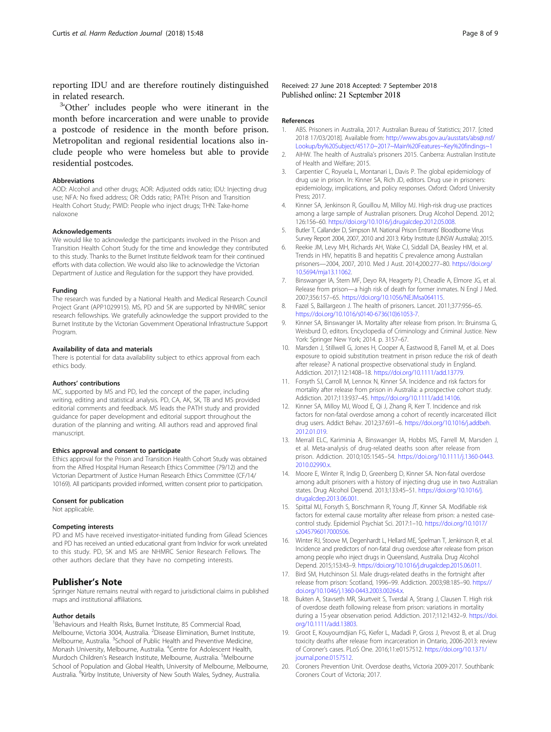<span id="page-7-0"></span>reporting IDU and are therefore routinely distinguished in related research.

<sup>3</sup>'Other' includes people who were itinerant in the month before incarceration and were unable to provide a postcode of residence in the month before prison. Metropolitan and regional residential locations also include people who were homeless but able to provide residential postcodes.

# Abbreviations

AOD: Alcohol and other drugs; AOR: Adjusted odds ratio; IDU: Injecting drug use; NFA: No fixed address; OR: Odds ratio; PATH: Prison and Transition Health Cohort Study; PWID: People who inject drugs; THN: Take-home naloxone

#### Acknowledgements

We would like to acknowledge the participants involved in the Prison and Transition Health Cohort Study for the time and knowledge they contributed to this study. Thanks to the Burnet Institute fieldwork team for their continued efforts with data collection. We would also like to acknowledge the Victorian Department of Justice and Regulation for the support they have provided.

#### Funding

The research was funded by a National Health and Medical Research Council Project Grant (APP1029915). MS, PD and SK are supported by NHMRC senior research fellowships. We gratefully acknowledge the support provided to the Burnet Institute by the Victorian Government Operational Infrastructure Support Program.

#### Availability of data and materials

There is potential for data availability subject to ethics approval from each ethics body.

#### Authors' contributions

MC, supported by MS and PD, led the concept of the paper, including writing, editing and statistical analysis. PD, CA, AK, SK, TB and MS provided editorial comments and feedback. MS leads the PATH study and provided guidance for paper development and editorial support throughout the duration of the planning and writing. All authors read and approved final manuscript.

#### Ethics approval and consent to participate

Ethics approval for the Prison and Transition Health Cohort Study was obtained from the Alfred Hospital Human Research Ethics Committee (79/12) and the Victorian Department of Justice Human Research Ethics Committee (CF/14/ 10169). All participants provided informed, written consent prior to participation.

#### Consent for publication

Not applicable.

#### Competing interests

PD and MS have received investigator-initiated funding from Gilead Sciences and PD has received an untied educational grant from Indivior for work unrelated to this study. PD, SK and MS are NHMRC Senior Research Fellows. The other authors declare that they have no competing interests.

## Publisher's Note

Springer Nature remains neutral with regard to jurisdictional claims in published maps and institutional affiliations.

#### Author details

<sup>1</sup> Behaviours and Health Risks, Burnet Institute, 85 Commercial Road, Melbourne, Victoria 3004, Australia. <sup>2</sup>Disease Elimination, Burnet Institute, Melbourne, Australia. <sup>3</sup>School of Public Health and Preventive Medicine, Monash University, Melbourne, Australia. <sup>4</sup>Centre for Adolescent Health, Murdoch Children's Research Institute, Melbourne, Australia. <sup>5</sup>Melbourne School of Population and Global Health, University of Melbourne, Melbourne, Australia. <sup>6</sup>Kirby Institute, University of New South Wales, Sydney, Australia.

## Received: 27 June 2018 Accepted: 7 September 2018 Published online: 21 September 2018

#### References

- 1. ABS. Prisoners in Australia, 2017: Australian Bureau of Statistics; 2017. [cited 2018 17/03/2018]. Available from: [http://www.abs.gov.au/ausstats/abs@.nsf/](http://www.abs.gov.au/ausstats/abs@.nsf/Lookup/by%20Subject/4517.0~2017~Main%20Features~Key%20findings~1) [Lookup/by%20Subject/4517.0~2017~Main%20Features~Key%20findings~1](http://www.abs.gov.au/ausstats/abs@.nsf/Lookup/by%20Subject/4517.0~2017~Main%20Features~Key%20findings~1)
- 2. AIHW. The health of Australia's prisoners 2015. Canberra: Australian Institute of Health and Welfare; 2015.
- 3. Carpentier C, Royuela L, Montanari L, Davis P. The global epidemiology of drug use in prison. In: Kinner SA, Rich JD, editors. Drug use in prisoners: epidemiology, implications, and policy responses. Oxford: Oxford University Press; 2017.
- 4. Kinner SA, Jenkinson R, Gouillou M, Milloy MJ. High-risk drug-use practices among a large sample of Australian prisoners. Drug Alcohol Depend. 2012; 126:156–60. [https://doi.org/10.1016/j.drugalcdep.2012.05.008.](https://doi.org/10.1016/j.drugalcdep.2012.05.008)
- 5. Butler T, Callander D, Simpson M. National Prison Entrants' Bloodborne Virus Survey Report 2004, 2007, 2010 and 2013: Kirby Institute (UNSW Australia); 2015.
- 6. Reekie JM, Levy MH, Richards AH, Wake CJ, Siddall DA, Beasley HM, et al. Trends in HIV, hepatitis B and hepatitis C prevalence among Australian prisoners—2004, 2007, 2010. Med J Aust. 2014;200:277–80. [https://doi.org/](https://doi.org/10.5694/mja13.11062) [10.5694/mja13.11062](https://doi.org/10.5694/mja13.11062).
- 7. Binswanger IA, Stern MF, Deyo RA, Heagerty PJ, Cheadle A, Elmore JG, et al. Release from prison—a high risk of death for former inmates. N Engl J Med. 2007;356:157–65. <https://doi.org/10.1056/NEJMsa064115>.
- 8. Fazel S, Baillargeon J. The health of prisoners. Lancet. 2011;377:956–65. [https://doi.org/10.1016/s0140-6736\(10\)61053-7](https://doi.org/10.1016/s0140-6736(10)61053-7).
- 9. Kinner SA, Binswanger IA. Mortality after release from prison. In: Bruinsma G, Weisburd D, editors. Encyclopedia of Criminology and Criminal Justice. New York: Springer New York; 2014. p. 3157–67.
- 10. Marsden J, Stillwell G, Jones H, Cooper A, Eastwood B, Farrell M, et al. Does exposure to opioid substitution treatment in prison reduce the risk of death after release? A national prospective observational study in England. Addiction. 2017;112:1408–18. [https://doi.org/10.1111/add.13779.](https://doi.org/10.1111/add.13779)
- 11. Forsyth SJ, Carroll M, Lennox N, Kinner SA. Incidence and risk factors for mortality after release from prison in Australia: a prospective cohort study. Addiction. 2017;113:937–45. <https://doi.org/10.1111/add.14106>.
- 12. Kinner SA, Milloy MJ, Wood E, Qi J, Zhang R, Kerr T. Incidence and risk factors for non-fatal overdose among a cohort of recently incarcerated illicit drug users. Addict Behav. 2012;37:691–6. [https://doi.org/10.1016/j.addbeh.](https://doi.org/10.1016/j.addbeh.2012.01.019) [2012.01.019.](https://doi.org/10.1016/j.addbeh.2012.01.019)
- 13. Merrall ELC, Kariminia A, Binswanger IA, Hobbs MS, Farrell M, Marsden J, et al. Meta-analysis of drug-related deaths soon after release from prison. Addiction. 2010;105:1545–54. [https://doi.org/10.1111/j.1360-0443.](https://doi.org/10.1111/j.1360-0443.2010.02990.x) [2010.02990.x.](https://doi.org/10.1111/j.1360-0443.2010.02990.x)
- 14. Moore E, Winter R, Indig D, Greenberg D, Kinner SA. Non-fatal overdose among adult prisoners with a history of injecting drug use in two Australian states. Drug Alcohol Depend. 2013;133:45–51. [https://doi.org/10.1016/j.](https://doi.org/10.1016/j.drugalcdep.2013.06.001) [drugalcdep.2013.06.001](https://doi.org/10.1016/j.drugalcdep.2013.06.001).
- 15. Spittal MJ, Forsyth S, Borschmann R, Young JT, Kinner SA. Modifiable risk factors for external cause mortality after release from prison: a nested casecontrol study. Epidemiol Psychiat Sci. 2017:1–10. [https://doi.org/10.1017/](https://doi.org/10.1017/s2045796017000506) [s2045796017000506.](https://doi.org/10.1017/s2045796017000506)
- 16. Winter RJ, Stoove M, Degenhardt L, Hellard ME, Spelman T, Jenkinson R, et al. Incidence and predictors of non-fatal drug overdose after release from prison among people who inject drugs in Queensland, Australia. Drug Alcohol Depend. 2015;153:43–9. <https://doi.org/10.1016/j.drugalcdep.2015.06.011>.
- 17. Bird SM, Hutchinson SJ. Male drugs-related deaths in the fortnight after release from prison: Scotland, 1996–99. Addiction. 2003;98:185–90. [https://](https://doi.org/10.1046/j.1360-0443.2003.00264.x) [doi.org/10.1046/j.1360-0443.2003.00264.x.](https://doi.org/10.1046/j.1360-0443.2003.00264.x)
- 18. Bukten A, Stavseth MR, Skurtveit S, Tverdal A, Strang J, Clausen T. High risk of overdose death following release from prison: variations in mortality during a 15-year observation period. Addiction. 2017;112:1432–9. [https://doi.](https://doi.org/10.1111/add.13803) [org/10.1111/add.13803](https://doi.org/10.1111/add.13803).
- 19. Groot E, Kouyoumdjian FG, Kiefer L, Madadi P, Gross J, Prevost B, et al. Drug toxicity deaths after release from incarceration in Ontario, 2006-2013: review of Coroner's cases. PLoS One. 2016;11:e0157512. [https://doi.org/10.1371/](https://doi.org/10.1371/journal.pone.0157512) [journal.pone.0157512](https://doi.org/10.1371/journal.pone.0157512).
- 20. Coroners Prevention Unit. Overdose deaths, Victoria 2009-2017. Southbank: Coroners Court of Victoria; 2017.